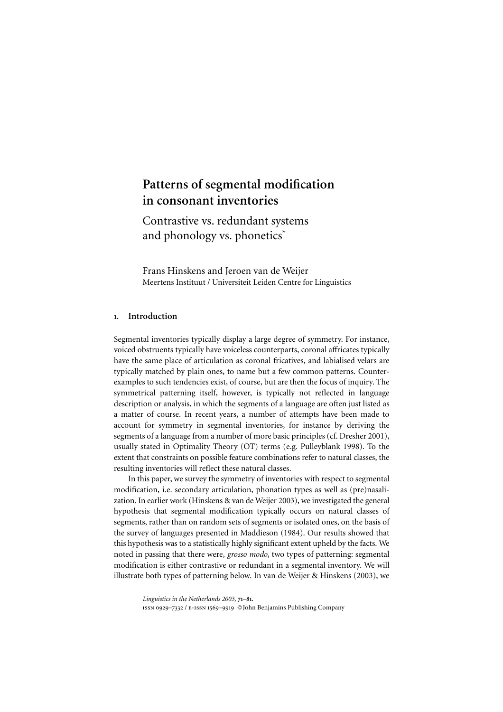# Patterns of segmental modification in consonant inventories

Contrastive vs. redundant systems and phonology vs. phonetics\*

Frans Hinskens and Jeroen van de Weijer Meertens Instituut / Universiteit Leiden Centre for Linguistics

## 1. Introduction

Segmental inventories typically display a large degree of symmetry. For instance, voiced obstruents typically have voiceless counterparts, coronal affricates typically have the same place of articulation as coronal fricatives, and labialised velars are typically matched by plain ones, to name but a few common patterns. Counterexamples to such tendencies exist, of course, but are then the focus of inquiry. The symmetrical patterning itself, however, is typically not reflected in language description or analysis, in which the segments of a language are often just listed as a matter of course. In recent years, a number of attempts have been made to account for symmetry in segmental inventories, for instance by deriving the segments of a language from a number of more basic principles (cf. Dresher 2001), **Patterns of segmental modification**<br>
in consonant inventories<br>
Contrastive vs. redundant systems<br>
and phonology vs. phonetics<sup>2</sup><br>
Frans Hinskens and Jeroen van de Weijer<br>
Frans Hinskens and Jeroen van de Weijer<br>
Meretens **Patterns of segmental modification**<br> **Contrastive vs. redundant systems**<br> **Contrastive vs. redundant systems**<br>
and phonology vs. phonetics'<br>
Frans Hinskens and Jeroen van de Weijer<br>
Frans Hinskens and Jeroen van de Weijer resulting inventories will reflect these natural classes. **Patterns of segmental modification**<br>
in consonant inventories<br>
Contrastive vs. redundant systems<br>
and phonology vs. phonetics'<br>
Frans Hinskens and genee van de Weijer<br>
Meertens Institute / Universiteit Leiden Centre for **Patterns of segmental modification**<br> **in consonant inventories**<br>
Contrastive vs. redundant systems<br>
and phonology vs. phonetics<sup>\*</sup><br>
Frans Hinskens and Jenen van de Weijer<br>
Meertens Institute / Universiteit Leiden Centre

In this paper, we survey the symmetry of inventories with respect to segmental modification, i.e. secondary articulation, phonation types as well as (pre)nasalization. In earlier work (Hinskens & van de Weijer 2003), we investigated the general segments, rather than on random sets of segments or isolated ones, on the basis of the survey of languages presented in Maddieson (1984). Our results showed that noted in passing that there were, *grosso modo*, two types of patterning: segmental modification is either contrastive or redundant in a segmental inventory. We will illustrate both types of patterning below. In van de [Weijer & Hinskens \(2003\),](#page-10-0) we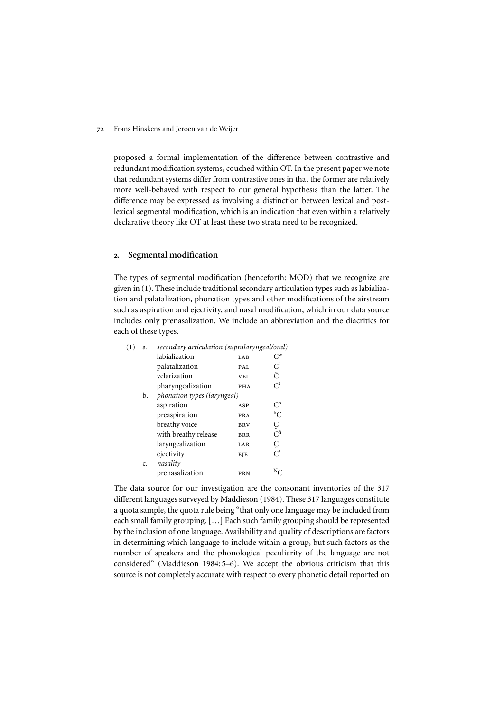proposed a formal implementation of the difference between contrastive and redundant modification systems, couched within OT. In the present paper we note that redundant systems differ from contrastive ones in that the former are relatively more well-behaved with respect to our general hypothesis than the latter. The difference may be expressed as involving a distinction between lexical and postlexical segmental modification, which is an indication that even within a relatively declarative theory like OT at least these two strata need to be recognized.

#### 2. Segmental modification

The types of segmental modification (henceforth: MOD) that we recognize are given in (1). These include traditional secondary articulation types such as labialization and palatalization, phonation types and other modifications of the airstream such as aspiration and ejectivity, and nasal modification, which in our data source includes only prenasalization. We include an abbreviation and the diacritics for each of these types.

| (1) | a. | secondary articulation (supralaryngeal/oral) |            |                        |
|-----|----|----------------------------------------------|------------|------------------------|
|     |    | labialization                                | LAB        | $C^{\rm w}$            |
|     |    | palatalization                               | PAL        | C                      |
|     |    | velarization                                 | <b>VEL</b> | Ĉ                      |
|     |    | pharyngealization                            | PHA        | Cî                     |
|     | b. | phonation types (laryngeal)                  |            |                        |
|     |    | aspiration                                   | ASP        | $C^{\rm h}$            |
|     |    | preaspiration                                | <b>PRA</b> | $h_{\rm C}$            |
|     |    | breathy voice                                | <b>BRV</b> | Ö                      |
|     |    | with breathy release                         | <b>BRR</b> | $C^{\hat{\mathrm{h}}}$ |
|     |    | laryngealization                             | LAR        | Č                      |
|     |    | ejectivity                                   | EJE        | $\overline{C'}$        |
|     | c. | nasality                                     |            |                        |
|     |    | prenasalization                              | PRN        |                        |

The data source for our investigation are the consonant inventories of the 317 different languages surveyed by [Maddieson \(1984\).](#page-9-0) These 317 languages constitute a quota sample, the quota rule being "that only one language may be included from each small family grouping. […] Each such family grouping should be represented by the inclusion of one language. Availability and quality of descriptions are factors in determining which language to include within a group, but such factors as the number of speakers and the phonological peculiarity of the language are not considered" ([Maddieson 1984:5–](#page-9-0)6). We accept the obvious criticism that this source is not completely accurate with respect to every phonetic detail reported on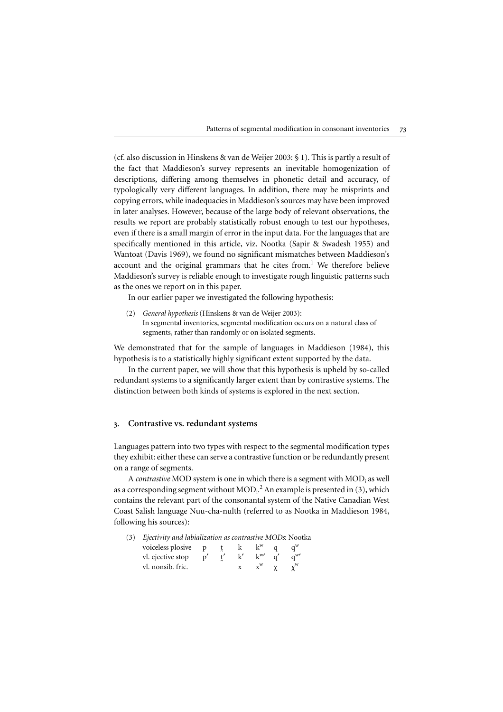(cf. also discussion in Hinskens & van de Weijer 2003: § 1). This is partly a result of the fact that Maddieson's survey represents an inevitable homogenization of descriptions, differing among themselves in phonetic detail and accuracy, of typologically very different languages. In addition, there may be misprints and copying errors, while inadequacies in Maddieson's sources may have been improved in later analyses. However, because of the large body of relevant observations, the results we report are probably statistically robust enough to test our hypotheses, even if there is a small margin of error in the input data. For the languages that are specifically mentioned in this article, viz. Nootka (Sapir & Swadesh 1955) and Patterns of segmental modification in consonant inventories<br>
(cf. also discussion in Hinskens & van de Weijer 2003: § 1). This is partly a result of<br>
the fact that Maddieson's survey represents an inevitable homogenization Patterns of segmental modification in consonant inventories<br>
(cf. also discussion in Hinskens & van de Weijer 2003: § 1). This is partly a result of<br>
the fact that Maddieson's survey represents an inevitable homogenization Maddieson's survey is reliable enough to investigate rough linguistic patterns such as the ones we report on in this paper. Patterns of segmental modification in consonant invertions (cf. also discussion in Hinskens & van de Weijer 2003: § 1). This is partly are the fact that Maddieson's survey represents an inevitable homogenization descriptio

In our earlier paper we investigated the following hypothesis:

(2) *General hypothesis* (Hinskens & van de Weijer 2003): In segmental inventories, segmental modification occurs on a natural class of segments, rather than randomly or on isolated segments.

We demonstrated that for the sample of languages in Maddieson (1984), this

In the current paper, we will show that this hypothesis is upheld by so-called redundant systems to a significantly larger extent than by contrastive systems. The distinction between both kinds of systems is explored in the next section.

### 3. Contrastive vs. redundant systems

Languages pattern into two types with respect to the segmental modification types they exhibit: either these can serve a contrastive function or be redundantly present on a range of segments.

A *contrastive* MOD system is one in which there is a segment with MOD<sub>i</sub> as well as a corresponding segment without  $\mathrm{MOD_{i}}^{2}$  $\mathrm{MOD_{i}}^{2}$  $\mathrm{MOD_{i}}^{2}$  An example is presented in (3), which contains the relevant part of the consonantal system of the Native Canadian West Coast Salish language Nuu-cha-nulth (referred to as Nootka in [Maddieson 1984,](#page-9-0) following his sources):

(3) *Ejectivity and labialization as contrastive MODs*: Nootka

| voiceless plosive |  |                           |  |
|-------------------|--|---------------------------|--|
| vl. ejective stop |  | $1-W'$                    |  |
| vl. nonsib. fric. |  | $\mathbf{v}^{\mathrm{W}}$ |  |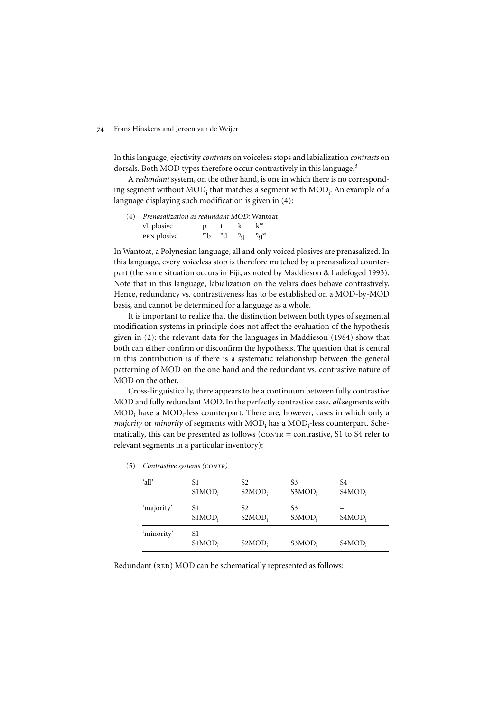In this language, ejectivity *contrasts* on voiceless stops and labialization *contrasts* on dorsals. Both MOD types therefore occur contrastively in this language.<sup>[3](#page-9-0)</sup>

A *redundant* system, on the other hand, is one in which there is no corresponding segment without  $\mathrm{MOD}_\text{i}$  that matches a segment with  $\mathrm{MOD}_\text{i}$ . An example of a language displaying such modification is given in (4):

| (4) | Prenasalization as redundant MOD: Wantoat |                |              |                  |             |  |
|-----|-------------------------------------------|----------------|--------------|------------------|-------------|--|
|     | vl. plosive                               | $\mathbf{D}$   |              | k.               | $k^w$       |  |
|     | <b>PRN</b> plosive                        | m <sub>h</sub> | $\mathbf{d}$ | $D_{\mathbf{C}}$ | $n_{\rm d}$ |  |
|     |                                           |                |              |                  |             |  |

In Wantoat, a Polynesian language, all and only voiced plosives are prenasalized. In this language, every voiceless stop is therefore matched by a prenasalized counterpart (the same situation occurs in Fiji, as noted by [Maddieson & Ladefoged 1993\)](#page-9-0). Note that in this language, labialization on the velars does behave contrastively. Hence, redundancy vs. contrastiveness has to be established on a MOD-by-MOD basis, and cannot be determined for a language as a whole.

It is important to realize that the distinction between both types of segmental modification systems in principle does not affect the evaluation of the hypothesis given in (2): the relevant data for the languages in [Maddieson \(1984\)](#page-9-0) show that both can either confirm or disconfirm the hypothesis. The question that is central in this contribution is if there is a systematic relationship between the general patterning of MOD on the one hand and the redundant vs. contrastive nature of MOD on the other.

Cross-linguistically, there appears to be a continuum between fully contrastive MOD and fully redundant MOD. In the perfectly contrastive case, *all* segments with  $\mathrm{MOD}_\text{i}$  have a  $\mathrm{MOD}_\text{i}$ -less counterpart. There are, however, cases in which only a majority or *minority* of segments with  $\mathrm{MOD}_i$  has a  $\mathrm{MOD}_i$ -less counterpart. Schematically, this can be presented as follows ( $\overline{\text{conv}}$  = contrastive, S1 to S4 refer to relevant segments in a particular inventory):

| 'all'      | S1<br>SIMOD <sub>i</sub> | S <sub>2</sub><br>$S2MOD_i$ | S <sub>3</sub><br>$S3MOD_i$ | S4<br>$S4MOD_i$ |
|------------|--------------------------|-----------------------------|-----------------------------|-----------------|
| 'majority' | S1<br>SIMOD <sub>i</sub> | S <sub>2</sub><br>$S2MOD_i$ | S <sub>3</sub><br>$S3MOD_i$ | $S4MOD_i$       |
| 'minority' | S1<br>SIMOD <sub>i</sub> | $S2MOD_i$                   | S3MOD;                      | $S4MOD_i$       |

(5) *Contrastive systems (contr)*

Redundant (RED) MOD can be schematically represented as follows: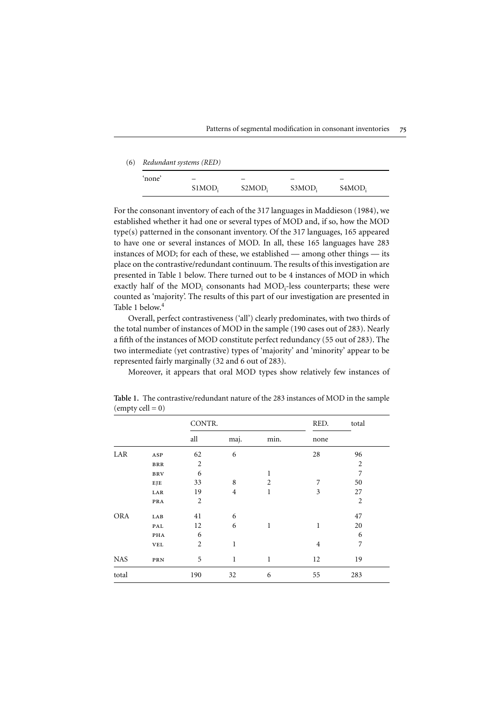| (6) | Redundant systems (RED) |                    |                    |                    |        |  |  |  |
|-----|-------------------------|--------------------|--------------------|--------------------|--------|--|--|--|
|     | `none'                  | -                  |                    |                    |        |  |  |  |
|     |                         | SIMOD <sub>i</sub> | S2MOD <sub>i</sub> | S3MOD <sub>i</sub> | S4MOD: |  |  |  |

For the consonant inventory of each of the 317 languages in [Maddieson \(1984\),](#page-9-0) we established whether it had one or several types of MOD and, if so, how the MOD type(s) patterned in the consonant inventory. Of the 317 languages, 165 appeared to have one or several instances of MOD. In all, these 165 languages have 283 instances of MOD; for each of these, we established — among other things — its place on the contrastive/redundant continuum. The results of this investigation are presented in Table 1 below. There turned out to be 4 instances of MOD in which exactly half of the MOD<sub>i</sub> consonants had MOD<sub>i</sub>-less counterparts; these were counted as 'majority'. The results of this part of our investigation are presented in Table 1 below.[4](#page-9-0)

Overall, perfect contrastiveness ('all') clearly predominates, with two thirds of the total number of instances of MOD in the sample (190 cases out of 283). Nearly a fifth of the instances of MOD constitute perfect redundancy (55 out of 283). The two intermediate (yet contrastive) types of 'majority' and 'minority' appear to be represented fairly marginally (32 and 6 out of 283).

Moreover, it appears that oral MOD types show relatively few instances of

|            |                | CONTR.         |                |                | RED.           | total          |
|------------|----------------|----------------|----------------|----------------|----------------|----------------|
|            |                | all            | maj.           | min.           | none           |                |
| LAR        | ASP            | 62             | 6              |                | 28             | 96             |
|            | $_{\rm BRR}$   | $\overline{2}$ |                |                |                | $\overline{2}$ |
|            | <b>BRV</b>     | 6              |                | 1              |                | 7              |
|            | EJE            | 33             | 8              | $\overline{2}$ | 7              | 50             |
|            | LAR            | 19             | $\overline{4}$ | 1              | 3              | 27             |
|            | PRA            | $\overline{2}$ |                |                |                | $\overline{2}$ |
| <b>ORA</b> | LAB            | 41             | 6              |                |                | 47             |
|            | $\mathbf{PAL}$ | 12             | 6              | 1              | 1              | 20             |
|            | PHA            | 6              |                |                |                | 6              |
|            | <b>VEL</b>     | $\overline{2}$ | $\mathbf{1}$   |                | $\overline{4}$ | 7              |
| <b>NAS</b> | PRN            | 5              | 1              | 1              | 12             | 19             |
| total      |                | 190            | 32             | 6              | 55             | 283            |

Table 1. The contrastive/redundant nature of the 283 instances of MOD in the sample  $\text{(empty cell = 0)}$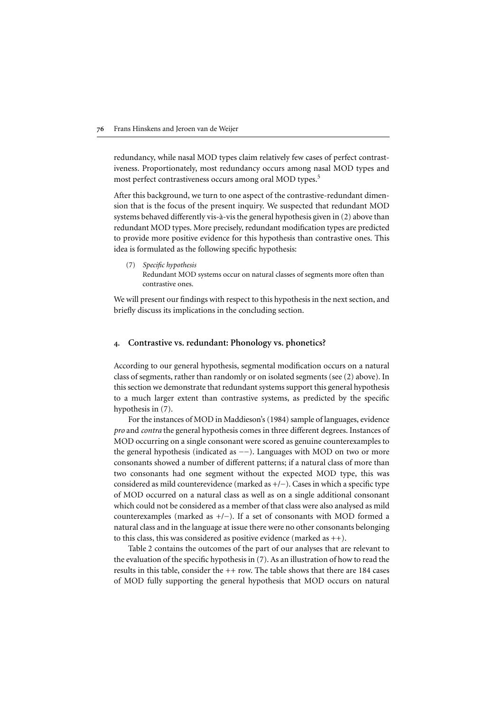redundancy, while nasal MOD types claim relatively few cases of perfect contrastiveness. Proportionately, most redundancy occurs among nasal MOD types and most perfect contrastiveness occurs among oral MOD types.<sup>5</sup>

After this background, we turn to one aspect of the contrastive-redundant dimension that is the focus of the present inquiry. We suspected that redundant MOD systems behaved differently vis-à-vis the general hypothesis given in (2) above than redundant MOD types. More precisely, redundant modification types are predicted to provide more positive evidence for this hypothesis than contrastive ones. This idea is formulated as the following specific hypothesis:

(7) *Specific hypothesis* Redundant MOD systems occur on natural classes of segments more often than contrastive ones.

We will present our findings with respect to this hypothesis in the next section, and briefly discuss its implications in the concluding section.

#### 4. Contrastive vs. redundant: Phonology vs. phonetics?

According to our general hypothesis, segmental modification occurs on a natural class of segments, rather than randomly or on isolated segments (see (2) above). In this section we demonstrate that redundant systems support this general hypothesis to a much larger extent than contrastive systems, as predicted by the specific hypothesis in (7).

For the instances of MOD in [Maddieson's \(1984\)](#page-9-0) sample of languages, evidence *pro* and *contra* the general hypothesis comes in three different degrees. Instances of MOD occurring on a single consonant were scored as genuine counterexamples to the general hypothesis (indicated as −−). Languages with MOD on two or more consonants showed a number of different patterns; if a natural class of more than two consonants had one segment without the expected MOD type, this was considered as mild counterevidence (marked as +/−). Cases in which a specific type of MOD occurred on a natural class as well as on a single additional consonant which could not be considered as a member of that class were also analysed as mild counterexamples (marked as +/−). If a set of consonants with MOD formed a natural class and in the language at issue there were no other consonants belonging to this class, this was considered as positive evidence (marked as  $++$ ).

Table 2 contains the outcomes of the part of our analyses that are relevant to the evaluation of the specific hypothesis in (7). As an illustration of how to read the results in this table, consider the ++ row. The table shows that there are 184 cases of MOD fully supporting the general hypothesis that MOD occurs on natural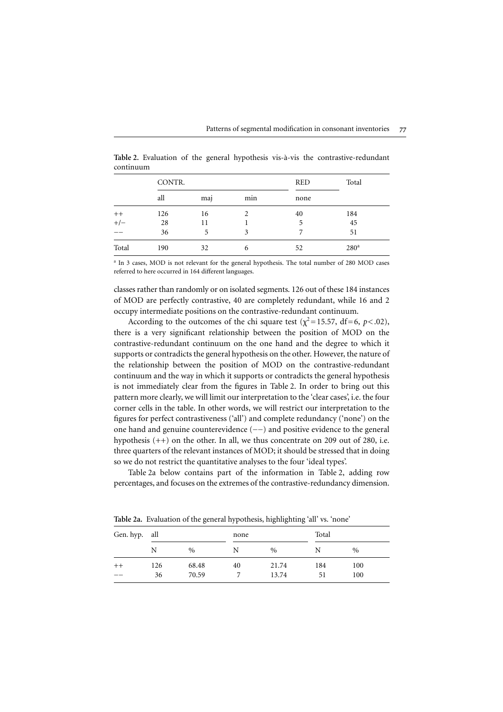|       | CONTR. |     |     | <b>RED</b> | Total            |
|-------|--------|-----|-----|------------|------------------|
|       | all    | maj | min | none       |                  |
| $++$  | 126    | 16  | 2   | 40         | 184              |
| $+/-$ | 28     | 11  |     | 5          | 45               |
|       | 36     | 5   | 3   |            | 51               |
| Total | 190    | 32  | 6   | 52         | 280 <sup>a</sup> |

Table 2. Evaluation of the general hypothesis vis-à-vis the contrastive-redundant continuum

<sup>a</sup> In 3 cases, MOD is not relevant for the general hypothesis. The total number of 280 MOD cases referred to here occurred in 164 different languages.

classes rather than randomly or on isolated segments. 126 out of these 184 instances of MOD are perfectly contrastive, 40 are completely redundant, while 16 and 2 occupy intermediate positions on the contrastive-redundant continuum.

According to the outcomes of the chi square test ( $\chi^2$ =15.57, df=6, *p*<.02), there is a very significant relationship between the position of MOD on the contrastive-redundant continuum on the one hand and the degree to which it supports or contradicts the general hypothesis on the other. However, the nature of the relationship between the position of MOD on the contrastive-redundant continuum and the way in which it supports or contradicts the general hypothesis is not immediately clear from the figures in Table 2. In order to bring out this pattern more clearly, we will limit our interpretation to the 'clear cases', i.e. the four corner cells in the table. In other words, we will restrict our interpretation to the figures for perfect contrastiveness ('all') and complete redundancy ('none') on the one hand and genuine counterevidence (−−) and positive evidence to the general hypothesis (++) on the other. In all, we thus concentrate on 209 out of 280, i.e. three quarters of the relevant instances of MOD; it should be stressed that in doing so we do not restrict the quantitative analyses to the four 'ideal types'.

Table 2a below contains part of the information in Table 2, adding row percentages, and focuses on the extremes of the contrastive-redundancy dimension.

| Gen. hyp. all |                | none |                |           | Total         |  |
|---------------|----------------|------|----------------|-----------|---------------|--|
| N             | $\%$           | N    | $\%$           | N         | $\frac{0}{0}$ |  |
| 126<br>36     | 68.48<br>70.59 | 40   | 21.74<br>13.74 | 184<br>51 | 100<br>100    |  |
|               |                |      |                |           |               |  |

Table 2a. Evaluation of the general hypothesis, highlighting 'all' vs. 'none'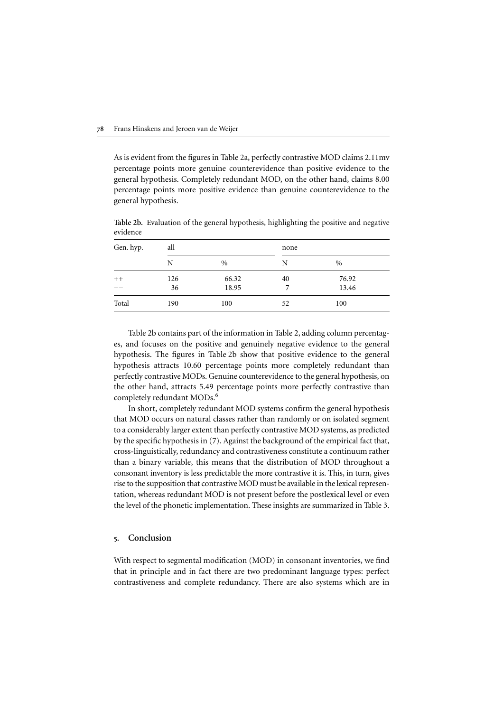As is evident from the figures in Table 2a, perfectly contrastive MOD claims 2.11mv percentage points more genuine counterevidence than positive evidence to the general hypothesis. Completely redundant MOD, on the other hand, claims 8.00 percentage points more positive evidence than genuine counterevidence to the general hypothesis.

| - - - - - - - - -<br>Gen. hyp. | all |       | none |       |  |
|--------------------------------|-----|-------|------|-------|--|
|                                | N   | $\%$  | N    | $\%$  |  |
| $++$                           | 126 | 66.32 | 40   | 76.92 |  |
|                                | 36  | 18.95 |      | 13.46 |  |
| Total                          | 190 | 100   | 52   | 100   |  |

Table 2b. Evaluation of the general hypothesis, highlighting the positive and negative evidence

Table 2b contains part of the information in Table 2, adding column percentages, and focuses on the positive and genuinely negative evidence to the general hypothesis. The figures in Table 2b show that positive evidence to the general hypothesis attracts 10.60 percentage points more completely redundant than perfectly contrastive MODs. Genuine counterevidence to the general hypothesis, on the other hand, attracts 5.49 percentage points more perfectly contrastive than completely redundant MODs.<sup>[6](#page-9-0)</sup>

In short, completely redundant MOD systems confirm the general hypothesis that MOD occurs on natural classes rather than randomly or on isolated segment to a considerably larger extent than perfectly contrastive MOD systems, as predicted by the specific hypothesis in (7). Against the background of the empirical fact that, cross-linguistically, redundancy and contrastiveness constitute a continuum rather than a binary variable, this means that the distribution of MOD throughout a consonant inventory is less predictable the more contrastive it is. This, in turn, gives rise to the supposition that contrastive MOD must be available in the lexical representation, whereas redundant MOD is not present before the postlexical level or even the level of the phonetic implementation. These insights are summarized in Table 3.

#### 5. Conclusion

With respect to segmental modification (MOD) in consonant inventories, we find that in principle and in fact there are two predominant language types: perfect contrastiveness and complete redundancy. There are also systems which are in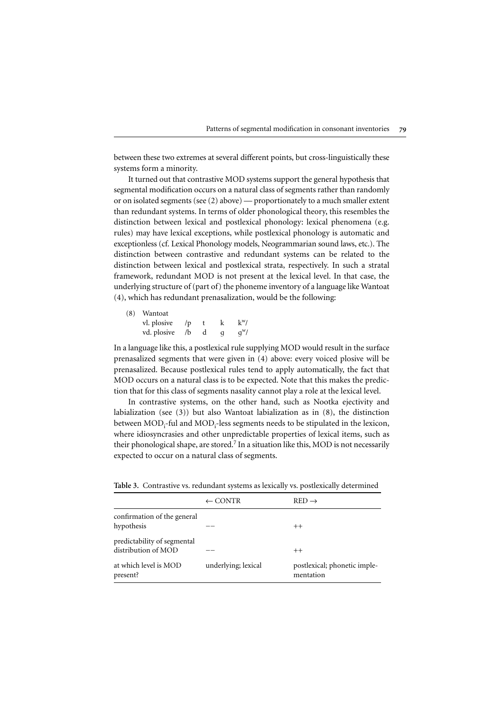between these two extremes at several different points, but cross-linguistically these systems form a minority.

It turned out that contrastive MOD systems support the general hypothesis that segmental modification occurs on a natural class of segments rather than randomly or on isolated segments (see (2) above) — proportionately to a much smaller extent than redundant systems. In terms of older phonological theory, this resembles the distinction between lexical and postlexical phonology: lexical phenomena (e.g. rules) may have lexical exceptions, while postlexical phonology is automatic and exceptionless (cf. Lexical Phonology models, Neogrammarian sound laws, etc.). The distinction between contrastive and redundant systems can be related to the distinction between lexical and postlexical strata, respectively. In such a stratal framework, redundant MOD is not present at the lexical level. In that case, the underlying structure of (part of) the phoneme inventory of a language like Wantoat (4), which has redundant prenasalization, would be the following:

| (8) Wantoat               |   |   |        |
|---------------------------|---|---|--------|
| vl. plosive / $p$         | t | k | $k^w/$ |
| vd. plosive / $\mathbf b$ | d | q | $q^w/$ |
|                           |   |   |        |

In a language like this, a postlexical rule supplying MOD would result in the surface prenasalized segments that were given in (4) above: every voiced plosive will be prenasalized. Because postlexical rules tend to apply automatically, the fact that MOD occurs on a natural class is to be expected. Note that this makes the prediction that for this class of segments nasality cannot play a role at the lexical level.

In contrastive systems, on the other hand, such as Nootka ejectivity and labialization (see (3)) but also Wantoat labialization as in (8), the distinction between MOD<sub>i</sub>-ful and MOD<sub>i</sub>-less segments needs to be stipulated in the lexicon, where idiosyncrasies and other unpredictable properties of lexical items, such as their phonological shape, are stored.<sup>[7](#page-9-0)</sup> In a situation like this, MOD is not necessarily expected to occur on a natural class of segments.

|                                                    | $\leftarrow$ CONTR  | $RED \rightarrow$                         |
|----------------------------------------------------|---------------------|-------------------------------------------|
| confirmation of the general<br>hypothesis          |                     | $++$                                      |
| predictability of segmental<br>distribution of MOD |                     | $++$                                      |
| at which level is MOD<br>present?                  | underlying; lexical | postlexical; phonetic imple-<br>mentation |

Table 3. Contrastive vs. redundant systems as lexically vs. postlexically determined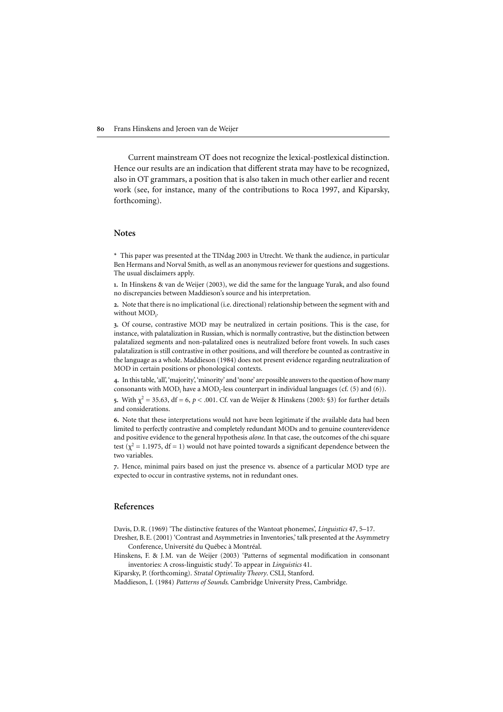Current mainstream OT does not recognize the lexical-postlexical distinction. Hence our results are an indication that different strata may have to be recognized, also in OT grammars, a position that is also taken in much other earlier and recent work (see, for instance, many of the contributions to Roca 1997, and Kiparsky, forthcoming). 80 Frans Hinskens and Jeroen van de Weijer<br>Current mainstream OT does not recognize the lexical-postlexical distinction.<br>Hence our results are an indication that different strata may have to be recognized,<br>also in OT gramm 80 Frans Hinskens and Jeroen van de Weijer<br>
Current mainstream OT does not recognize the lexical<br>
Hence our results are an indication that different strata ma<br>
also in OT grammars, a position that is also taken in much<br>
w

#### Notes

\* This paper was presented at the TINdag 2003 in Utrecht. We thank the audience, in particular The usual disclaimers apply.

1. In Hinskens & van de Weijer (2003), we did the same for the language Yurak, and also found

2. Note that there is no implicational (i.e. directional) relationship between the segment with and without MOD<sub>i</sub>.

<span id="page-9-0"></span>3. Of course, contrastive MOD may be neutralized in certain positions. This is the case, for instance, with palatalization in Russian, which is normally contrastive, but the distinction between palatalized segments and non-palatalized ones is neutralized before front vowels. In such cases palatalization is still contrastive in other positions, and will therefore be counted as contrastive in the language as a whole. Maddieson (1984) does not present evidence regarding neutralization of **80** Frans Hinskens and Jeroen van de Weijer<br>
Current mainstream OT does not recogn<br>
Hence our results are an indication that differ<br>
also in OT grammars, a position that is also<br>
work (see, for instance, many of the cont 80 Frans Hinskens an<br>
Current mai<br>
Hence our result<br>
also in OT gramı<br>
work (see, for ir<br>
forthcoming).<br>
Notes<br>
\* This paper was p<br>
Ben Hermans and N<br>
The usual disclaime<br>
1. In Hinskens & va<br>
no discrepancies be<br>
2. Note **SO** Frank Hinskens and Isroen wan de Weijer<br>Current mainstream OT does not recognize the lexical -postlesical distinction<br>Hero eutre restaint and asymmetrical at different state and Asymmetrical at the propized at the Co 80 Frans Hinskens and Jeroen van de Weijer<br>
Current mainstream OT does not recog<br>
Hence our results are an indication that diff<br>
also in OT grammars, a position that is also<br>
work (see, for instance, many of the contr<br>
fo **So Frans Hinkens and Jeroen van de Weijer<br>Current mainstream OT does not recognize the lexical-postlexical<br>Hence current<br>ults are an indication that different strata may have to be also in OT granminay, a position that i** 

4. In this table, 'all', 'majority', 'minority' and 'none' are possible answers to the question of how many consonants with  $\mathrm{MOD}_\text{i}$  have a  $\mathrm{MOD}_\text{i}$ -less counterpart in individual languages (cf. (5) and (6)).

5. With  $\chi^2 = 35.63$ , df = 6,  $p < .001$ . Cf. van de Weijer & Hinskens (2003: §3) for further details and considerations.

6. Note that these interpretations would not have been legitimate if the available data had been limited to perfectly contrastive and completely redundant MODs and to genuine counterevidence and positive evidence to the general hypothesis *alone*. In that case, the outcomes of the chi square test ( $\chi^2$  = 1.1975, df = 1) would not have pointed towards a significant dependence between the two variables.

7. Hence, minimal pairs based on just the presence vs. absence of a particular MOD type are expected to occur in contrastive systems, not in redundant ones.

# References

Davis, D.R. (1969) 'The distinctive features of the Wantoat phonemes', *Linguistics* 47, 5–17.

Hinskens, F. & J.M. van de Weijer (2003) 'Patterns of segmental modification in consonant inventories: A cross-linguistic study'. To appear in *Linguistics* 41.

Kiparsky, P. (forthcoming). *Stratal Optimality Theory*. CSLI, Stanford.